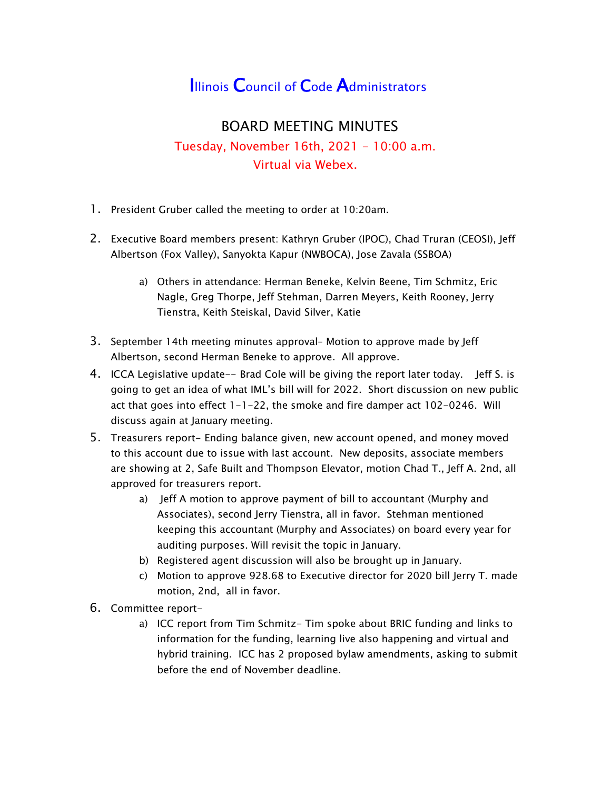## **Illinois Council of Code Administrators**

## BOARD MEETING MINUTES Tuesday, November 16th, 2021 - 10:00 a.m. Virtual via Webex.

- 1. President Gruber called the meeting to order at 10:20am.
- 2. Executive Board members present: Kathryn Gruber (IPOC), Chad Truran (CEOSI), Jeff Albertson (Fox Valley), Sanyokta Kapur (NWBOCA), Jose Zavala (SSBOA)
	- a) Others in attendance: Herman Beneke, Kelvin Beene, Tim Schmitz, Eric Nagle, Greg Thorpe, Jeff Stehman, Darren Meyers, Keith Rooney, Jerry Tienstra, Keith Steiskal, David Silver, Katie
- 3. September 14th meeting minutes approval– Motion to approve made by Jeff Albertson, second Herman Beneke to approve. All approve.
- 4. ICCA Legislative update-- Brad Cole will be giving the report later today. Jeff S. is going to get an idea of what IML's bill will for 2022. Short discussion on new public act that goes into effect 1-1-22, the smoke and fire damper act 102-0246. Will discuss again at January meeting.
- 5. Treasurers report- Ending balance given, new account opened, and money moved to this account due to issue with last account. New deposits, associate members are showing at 2, Safe Built and Thompson Elevator, motion Chad T., Jeff A. 2nd, all approved for treasurers report.
	- a) Jeff A motion to approve payment of bill to accountant (Murphy and Associates), second Jerry Tienstra, all in favor. Stehman mentioned keeping this accountant (Murphy and Associates) on board every year for auditing purposes. Will revisit the topic in January.
	- b) Registered agent discussion will also be brought up in January.
	- c) Motion to approve 928.68 to Executive director for 2020 bill Jerry T. made motion, 2nd, all in favor.
- 6. Committee report
	- a) ICC report from Tim Schmitz- Tim spoke about BRIC funding and links to information for the funding, learning live also happening and virtual and hybrid training. ICC has 2 proposed bylaw amendments, asking to submit before the end of November deadline.